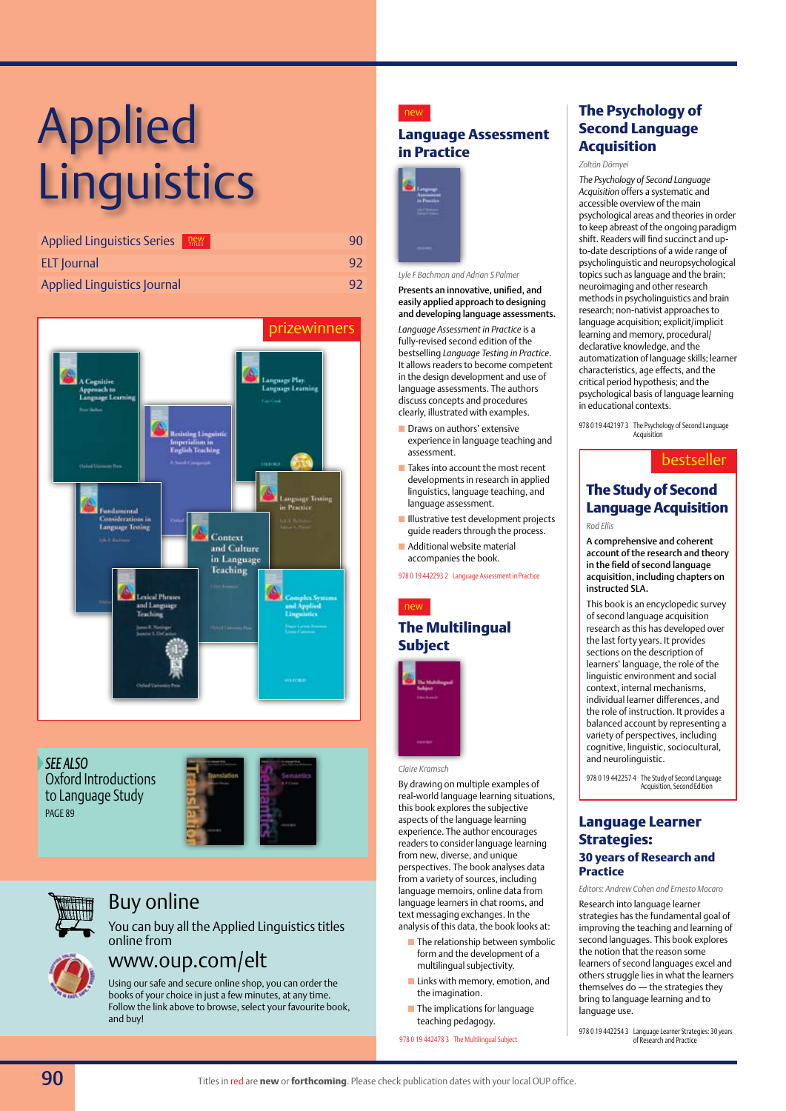# Applied **Linguistics**

| <b>Applied Linguistics Series</b> | $new$ <sub>TITLES</sub> | 90 |
|-----------------------------------|-------------------------|----|
| <b>ELT</b> Journal                |                         | 92 |
| Applied Linguistics Journal       |                         | 92 |



*See also* Oxford Introductions to Language Study page 89





# Buy online

You can buy all the Applied Linguistics titles online from



# www.oup.com/elt

Using our safe and secure online shop, you can order the books of your choice in just a few minutes, at any time. Follow the link above to browse, select your favourite book, and buy!

### new

### **Language Assessment in Practice**



#### *Lyle F Bachman and Adrian S Palmer*

Presents an innovative, unified, and easily applied approach to designing and developing language assessments.

*Language Assessment in Practice* is a fully-revised second edition of the bestselling *Language Testing in Practice*. It allows readers to become competent in the design development and use of language assessments. The authors discuss concepts and procedures clearly, illustrated with examples.

- **n** Draws on authors' extensive experience in language teaching and assessment.
- $\blacksquare$  Takes into account the most recent developments in research in applied linguistics, language teaching, and language assessment.
- **n Illustrative test development projects** guide readers through the process.
- n Additional website material accompanies the book.

978 0 19 442293 2 Language Assessment in Practice

### new

### **The Multilingual Subject**



#### *Claire Kramsch*

By drawing on multiple examples of real-world language learning situations, this book explores the subjective aspects of the language learning experience. The author encourages readers to consider language learning from new, diverse, and unique perspectives. The book analyses data from a variety of sources, including language memoirs, online data from language learners in chat rooms, and text messaging exchanges. In the analysis of this data, the book looks at:

- $\blacksquare$  The relationship between symbolic form and the development of a multilingual subjectivity.
- **n** Links with memory, emotion, and the imagination.
- $\blacksquare$  The implications for language teaching pedagogy.

978 0 19 442478 3 The Multilingual Subject

### **The Psychology of Second Language Acquisition**

#### *Zoltán Dörnyei*

*The Psychology of Second Language Acquisition* offers a systematic and accessible overview of the main psychological areas and theories in order to keep abreast of the ongoing paradigm shift. Readers will find succinct and upto-date descriptions of a wide range of psycholinguistic and neuropsychological topics such as language and the brain; neuroimaging and other research methods in psycholinguistics and brain research; non-nativist approaches to language acquisition; explicit/implicit learning and memory, procedural/ declarative knowledge, and the automatization of language skills; learner characteristics, age effects, and the critical period hypothesis; and the psychological basis of language learning in educational contexts.

978 0 19 442197 3 The Psychology of Second Language **Acquisition** 

### bestseller

### **The Study of Second Language Acquisition** *Rod Ellis*

A comprehensive and coherent account of the research and theory in the field of second language

acquisition, including chapters on

instructed SLA. This book is an encyclopedic survey of second language acquisition research as this has developed over the last forty years. It provides sections on the description of learners' language, the role of the linguistic environment and social context, internal mechanisms, individual learner differences, and the role of instruction. It provides a balanced account by representing a variety of perspectives, including cognitive, linguistic, sociocultural, and neurolinguistic.

978 0 19 442257 4 The Study of Second Language Acquisition, Second Edition

### **Language Learner Strategies: 30 years of Research and Practice**

*Editors: Andrew Cohen and Ernesto Macaro* 

Research into language learner strategies has the fundamental goal of improving the teaching and learning of second languages. This book explores the notion that the reason some learners of second languages excel and others struggle lies in what the learners themselves do — the strategies they bring to language learning and to language use.

978 0 19 442254 3 Language Learner Strategies: 30 years of Research and Practice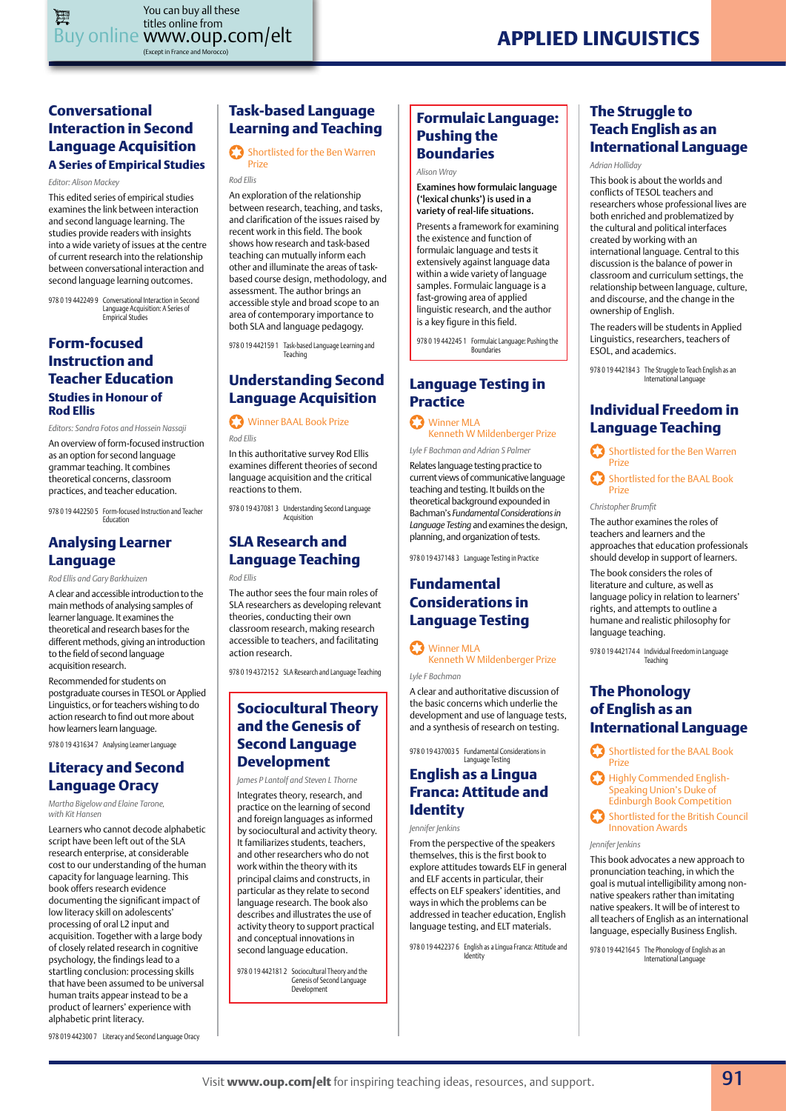### **Conversational Interaction in Second Language Acquisition A Series of Empirical Studies**

*Editor: Alison Mackey* 

This edited series of empirical studies examines the link between interaction and second language learning. The studies provide readers with insights into a wide variety of issues at the centre of current research into the relationship between conversational interaction and second language learning outcomes.

978 0 19 442249 9 Conversational Interaction in Second Language Acquisition: A Series of Empirical Studies

### **Form-focused Instruction and Teacher Education Studies in Honour of Rod Ellis**

*Editors: Sandra Fotos and Hossein Nassaji* 

An overview of form-focused instruction as an option for second language grammar teaching. It combines theoretical concerns, classroom practices, and teacher education.

978 0 19 442250 5 Form-focused Instruction and Teacher Education

### **Analysing Learner Language**

*Rod Ellis and Gary Barkhuizen*

A clear and accessible introduction to the main methods of analysing samples of learner language. It examines the theoretical and research bases for the different methods, giving an introduction to the field of second language acquisition research.

Recommended for students on postgraduate courses in TESOL or Applied Linguistics, or for teachers wishing to do action research to find out more about how learners learn language.

978 0 19 431634 7 Analysing Learner Language

# **Literacy and Second**

**Language Oracy**  *Martha Bigelow and Elaine Tarone, with Kit Hansen* 

Learners who cannot decode alphabetic script have been left out of the SLA research enterprise, at considerable cost to our understanding of the human capacity for language learning. This book offers research evidence documenting the significant impact of low literacy skill on adolescents' processing of oral L2 input and acquisition. Together with a large body of closely related research in cognitive psychology, the findings lead to a startling conclusion: processing skills that have been assumed to be universal human traits appear instead to be a product of learners' experience with alphabetic print literacy.

### **Task-based Language Learning and Teaching**

#### **Shortlisted for the Ben Warren** Prize

### *Rod Ellis*

An exploration of the relationship between research, teaching, and tasks, and clarification of the issues raised by recent work in this field. The book shows how research and task-based teaching can mutually inform each other and illuminate the areas of taskbased course design, methodology, and assessment. The author brings an accessible style and broad scope to an area of contemporary importance to both SLA and language pedagogy.

978 0 19 442159 1 Task-based Language Learning and Teaching

### **Understanding Second Language Acquisition**

Winner BAAL Book Prize

*Rod Ellis*

In this authoritative survey Rod Ellis examines different theories of second language acquisition and the critical reactions to them.

978 0 19 437081 3 Understanding Second Language Acquisition

# **SLA Research and Language Teaching**

*Rod Ellis*

The author sees the four main roles of SLA researchers as developing relevant theories, conducting their own classroom research, making research accessible to teachers, and facilitating action research.

978 0 19 437215 2 SLA Research and Language Teaching

### **Sociocultural Theory and the Genesis of Second Language Development**

*James P Lantolf and Steven L Thorne*

Integrates theory, research, and practice on the learning of second and foreign languages as informed by sociocultural and activity theory. It familiarizes students, teachers, and other researchers who do not work within the theory with its principal claims and constructs, in particular as they relate to second language research. The book also describes and illustrates the use of activity theory to support practical and conceptual innovations in second language education.

978 0 19 442181 2 Sociocultural Theory and the Genesis of Second Language Development

### **Formulaic Language: Pushing the Boundaries**

#### *Alison Wray*

Examines how formulaic language ('lexical chunks') is used in a variety of real-life situations.

Presents a framework for examining the existence and function of formulaic language and tests it extensively against language data within a wide variety of language samples. Formulaic language is a fast-growing area of applied linguistic research, and the author is a key figure in this field.

978 0 19 442245 1 Formulaic Language: Pushing the Boundaries

### **Language Testing in Practice**

Winner MLA Kenneth W Mildenberger Prize

*Lyle F Bachman and Adrian S Palmer*

Relates language testing practice to current views of communicative language teaching and testing. It builds on the theoretical background expounded in Bachman's *Fundamental Considerations in Language Testing* and examines the design, planning, and organization of tests.

978 0 19 437148 3 Language Testing in Practice

### **Fundamental Considerations in Language Testing**

Winner MLA

*Lyle F Bachman*

A clear and authoritative discussion of the basic concerns which underlie the development and use of language tests, and a synthesis of research on testing.

978 0 19 437003 5 Fundamental Considerations in Language Testing

### **English as a Lingua Franca: Attitude and Identity**

*Jennifer Jenkins*

From the perspective of the speakers themselves, this is the first book to explore attitudes towards ELF in general and ELF accents in particular, their effects on ELF speakers' identities, and ways in which the problems can be addressed in teacher education, English language testing, and ELT materials.

978 0 19 442237 6 English as a Lingua Franca: Attitude and Identity

### **The Struggle to Teach English as an International Language**

*Adrian Holliday*

This book is about the worlds and conflicts of TESOL teachers and researchers whose professional lives are both enriched and problematized by the cultural and political interfaces created by working with an international language. Central to this discussion is the balance of power in classroom and curriculum settings, the relationship between language, culture, and discourse, and the change in the ownership of English.

The readers will be students in Applied Linguistics, researchers, teachers of ESOL, and academics.

978 0 19 442184 3 The Struggle to Teach English as an

### **Individual Freedom in Language Teaching**

Shortlisted for the Ben Warren Prize

Shortlisted for the BAAL Book Prize

*Christopher Brumfit*

The author examines the roles of teachers and learners and the approaches that education professionals should develop in support of learners.

The book considers the roles of literature and culture, as well as language policy in relation to learners' rights, and attempts to outline a humane and realistic philosophy for language teaching.

978 0 19 442174 4 Individual Freedom in Language Teaching

### **The Phonology of English as an International Language**

Shortlisted for the BAAL Book Prize

Ø Highly Commended English-Speaking Union's Duke of Edinburgh Book Competition

Shortlisted for the British Council Innovation Awards

#### *Jennifer Jenkins*

This book advocates a new approach to pronunciation teaching, in which the goal is mutual intelligibility among nonnative speakers rather than imitating native speakers. It will be of interest to all teachers of English as an international language, especially Business English.

978 0 19 442164 5 The Phonology of English as an International Language

978 019 442300 7 Literacy and Second Language Oracy

Kenneth W Mildenberger Prize